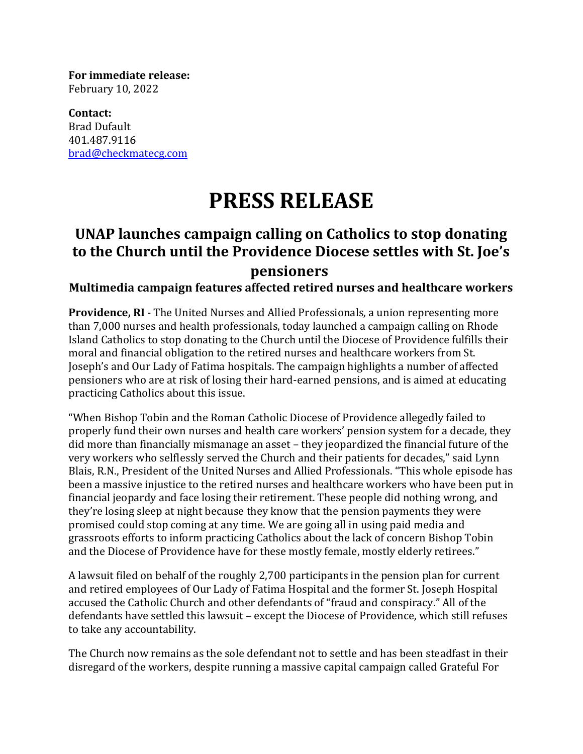**For immediate release:** February 10, 2022

**Contact:** Brad Dufault 401.487.9116 [brad@checkmatecg.com](mailto:brad@checkmatecg.com)

## **PRESS RELEASE**

## **UNAP launches campaign calling on Catholics to stop donating to the Church until the Providence Diocese settles with St. Joe's pensioners**

## **Multimedia campaign features affected retired nurses and healthcare workers**

**Providence, RI** - The United Nurses and Allied Professionals, a union representing more than 7,000 nurses and health professionals, today launched a campaign calling on Rhode Island Catholics to stop donating to the Church until the Diocese of Providence fulfills their moral and financial obligation to the retired nurses and healthcare workers from St. Joseph's and Our Lady of Fatima hospitals. The campaign highlights a number of affected pensioners who are at risk of losing their hard-earned pensions, and is aimed at educating practicing Catholics about this issue.

"When Bishop Tobin and the Roman Catholic Diocese of Providence allegedly failed to properly fund their own nurses and health care workers' pension system for a decade, they did more than financially mismanage an asset – they jeopardized the financial future of the very workers who selflessly served the Church and their patients for decades," said Lynn Blais, R.N., President of the United Nurses and Allied Professionals. "This whole episode has been a massive injustice to the retired nurses and healthcare workers who have been put in financial jeopardy and face losing their retirement. These people did nothing wrong, and they're losing sleep at night because they know that the pension payments they were promised could stop coming at any time. We are going all in using paid media and grassroots efforts to inform practicing Catholics about the lack of concern Bishop Tobin and the Diocese of Providence have for these mostly female, mostly elderly retirees."

A lawsuit filed on behalf of the roughly 2,700 participants in the pension plan for current and retired employees of Our Lady of Fatima Hospital and the former St. Joseph Hospital accused the Catholic Church and other defendants of "fraud and conspiracy." All of the defendants have settled this lawsuit – except the Diocese of Providence, which still refuses to take any accountability.

The Church now remains as the sole defendant not to settle and has been steadfast in their disregard of the workers, despite running a massive capital campaign called Grateful For